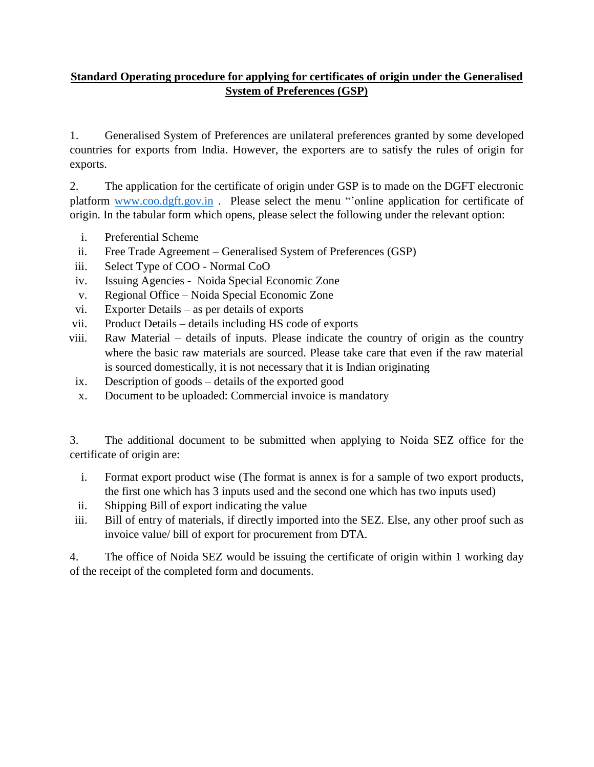## **Standard Operating procedure for applying for certificates of origin under the Generalised System of Preferences (GSP)**

1. Generalised System of Preferences are unilateral preferences granted by some developed countries for exports from India. However, the exporters are to satisfy the rules of origin for exports.

2. The application for the certificate of origin under GSP is to made on the DGFT electronic platform [www.coo.dgft.gov.in](http://www.coo.dgft.gov.in/) . Please select the menu "'online application for certificate of origin. In the tabular form which opens, please select the following under the relevant option:

- i. Preferential Scheme
- ii. Free Trade Agreement Generalised System of Preferences (GSP)
- iii. Select Type of COO Normal CoO
- iv. Issuing Agencies Noida Special Economic Zone
- v. Regional Office Noida Special Economic Zone
- vi. Exporter Details as per details of exports
- vii. Product Details details including HS code of exports
- viii. Raw Material details of inputs. Please indicate the country of origin as the country where the basic raw materials are sourced. Please take care that even if the raw material is sourced domestically, it is not necessary that it is Indian originating
- ix. Description of goods details of the exported good
- x. Document to be uploaded: Commercial invoice is mandatory

3. The additional document to be submitted when applying to Noida SEZ office for the certificate of origin are:

- i. Format export product wise (The format is annex is for a sample of two export products, the first one which has 3 inputs used and the second one which has two inputs used)
- ii. Shipping Bill of export indicating the value
- iii. Bill of entry of materials, if directly imported into the SEZ. Else, any other proof such as invoice value/ bill of export for procurement from DTA.

4. The office of Noida SEZ would be issuing the certificate of origin within 1 working day of the receipt of the completed form and documents.